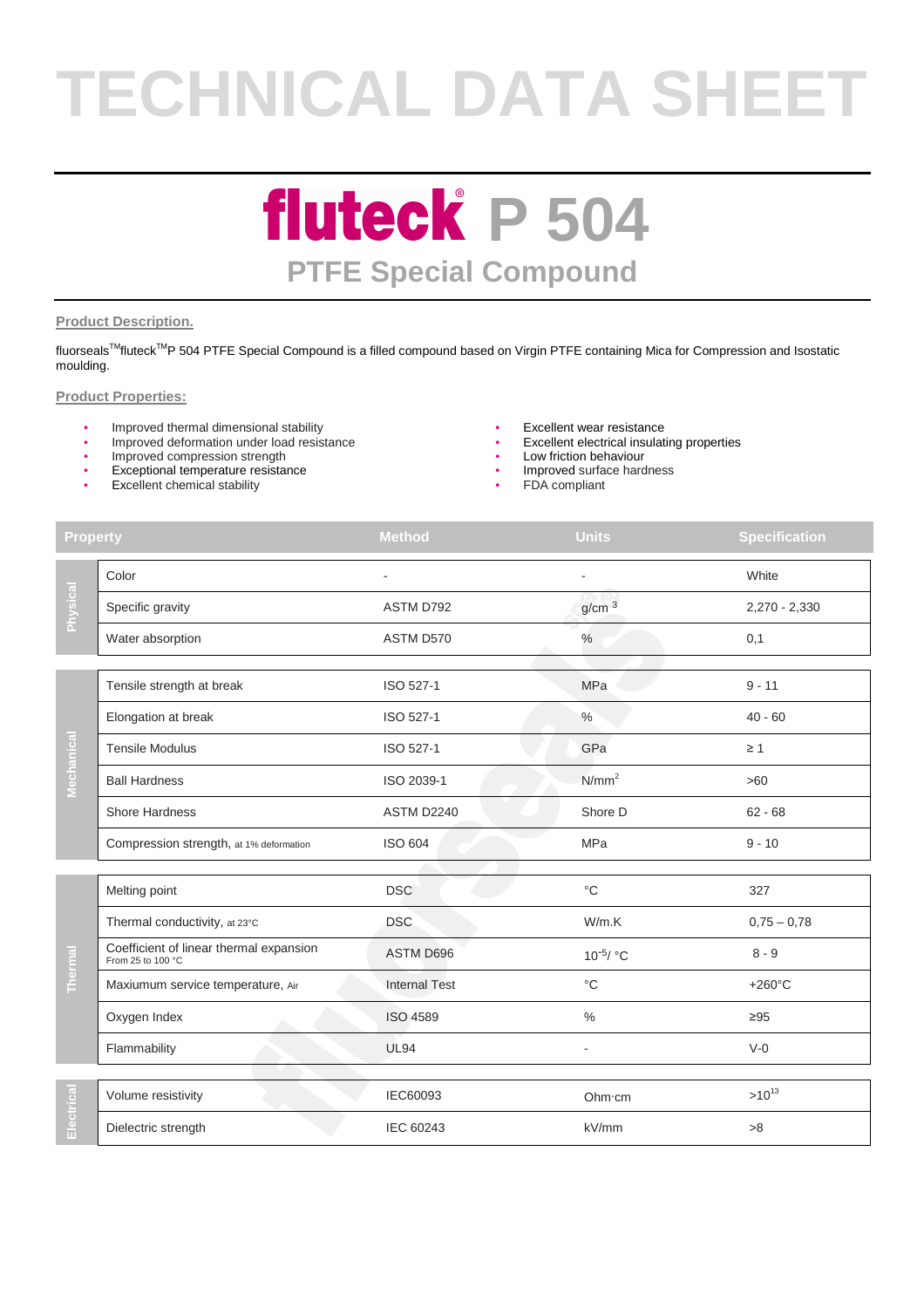# **TECHNICAL DATA SHEET**

### **fluteck P 504 PTFE Special Compound**

#### **Product Description.**

fluorseals™fluteck<sup>TM</sup>P 504 PTFE Special Compound is a filled compound based on Virgin PTFE containing Mica for Compression and Isostatic moulding.

#### **Product Properties:**

- Improved thermal dimensional stability<br>• Improved deformation under load resistance<br>• Excellent electrical insulating properties
- Improved deformation under load resistance
- Improved compression strength **•** Low friction behaviour
- Exceptional temperature resistance
- Excellent chemical stability
- 
- 
- 
- Improved surface hardness
	- FDA compliant

| <b>Property</b> |                                                              | <b>Method</b>        | <b>Units</b>      | <b>Specification</b> |
|-----------------|--------------------------------------------------------------|----------------------|-------------------|----------------------|
| Physical        | Color                                                        |                      | ä,                | White                |
|                 | Specific gravity                                             | ASTM D792            | g/cm <sup>3</sup> | 2,270 - 2,330        |
|                 | Water absorption                                             | ASTM D570            | $\%$              | 0,1                  |
| Mechanical      | Tensile strength at break                                    | ISO 527-1            | MPa               | $9 - 11$             |
|                 |                                                              |                      |                   |                      |
|                 | Elongation at break                                          | ISO 527-1            | %                 | $40 - 60$            |
|                 | <b>Tensile Modulus</b>                                       | ISO 527-1            | GPa               | $\geq 1$             |
|                 | <b>Ball Hardness</b>                                         | ISO 2039-1           | N/mm <sup>2</sup> | >60                  |
|                 | Shore Hardness                                               | ASTM D2240           | Shore D           | $62 - 68$            |
|                 | Compression strength, at 1% deformation                      | <b>ISO 604</b>       | MPa               | $9 - 10$             |
|                 |                                                              |                      |                   |                      |
| <b>Thermal</b>  | Melting point                                                | <b>DSC</b>           | $^{\circ}C$       | 327                  |
|                 | Thermal conductivity, at 23°C                                | <b>DSC</b>           | W/m.K             | $0,75 - 0,78$        |
|                 | Coefficient of linear thermal expansion<br>From 25 to 100 °C | ASTM D696            | $10^{-5}$ / °C    | $8 - 9$              |
|                 | Maxiumum service temperature, Air                            | <b>Internal Test</b> | $^{\circ}C$       | $+260^{\circ}$ C     |
|                 | Oxygen Index                                                 | <b>ISO 4589</b>      | $\%$              | $\geq 95$            |
|                 | Flammability                                                 | <b>UL94</b>          |                   | $V-0$                |
|                 |                                                              |                      |                   |                      |
| lectrical<br>ш  | Volume resistivity                                           | IEC60093             | Ohm cm            | $>10^{13}$           |
|                 | Dielectric strength                                          | <b>IEC 60243</b>     | kV/mm             | >8                   |